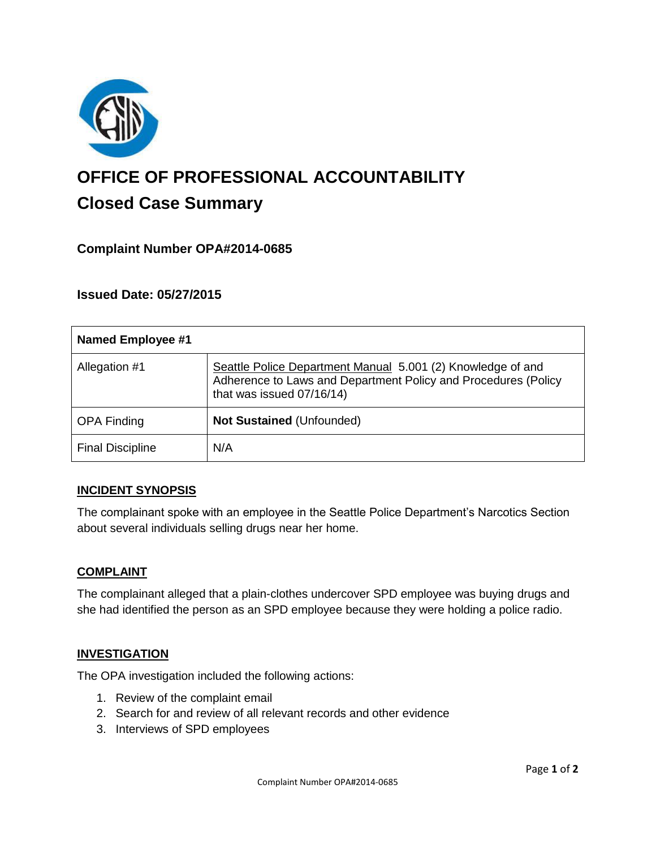

# **OFFICE OF PROFESSIONAL ACCOUNTABILITY Closed Case Summary**

# **Complaint Number OPA#2014-0685**

## **Issued Date: 05/27/2015**

| <b>Named Employee #1</b> |                                                                                                                                                            |
|--------------------------|------------------------------------------------------------------------------------------------------------------------------------------------------------|
| Allegation #1            | Seattle Police Department Manual 5.001 (2) Knowledge of and<br>Adherence to Laws and Department Policy and Procedures (Policy<br>that was issued 07/16/14) |
| <b>OPA Finding</b>       | <b>Not Sustained (Unfounded)</b>                                                                                                                           |
| <b>Final Discipline</b>  | N/A                                                                                                                                                        |

## **INCIDENT SYNOPSIS**

The complainant spoke with an employee in the Seattle Police Department's Narcotics Section about several individuals selling drugs near her home.

#### **COMPLAINT**

The complainant alleged that a plain-clothes undercover SPD employee was buying drugs and she had identified the person as an SPD employee because they were holding a police radio.

#### **INVESTIGATION**

The OPA investigation included the following actions:

- 1. Review of the complaint email
- 2. Search for and review of all relevant records and other evidence
- 3. Interviews of SPD employees